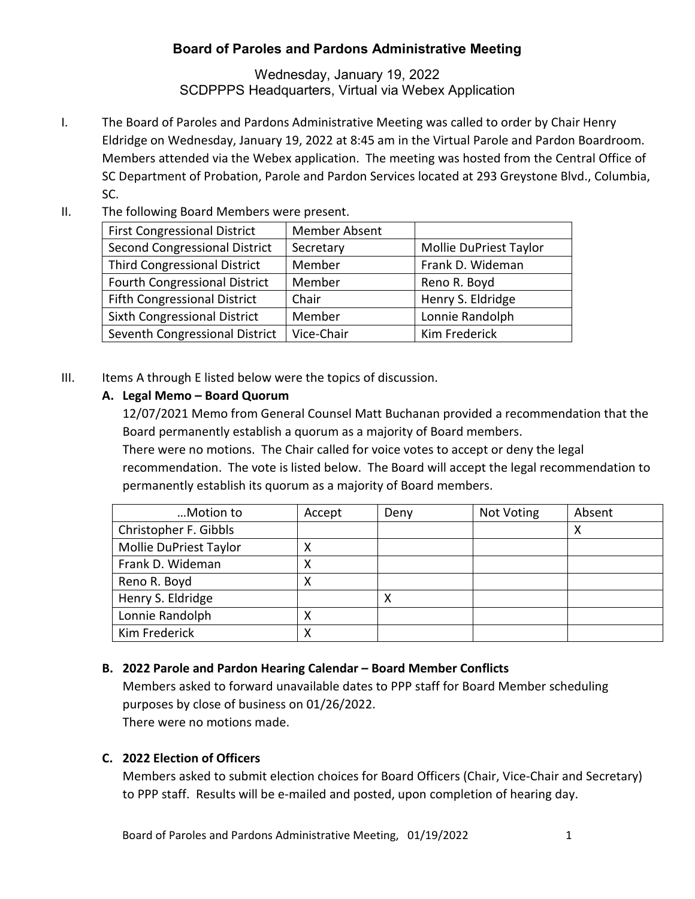## **Board of Paroles and Pardons Administrative Meeting**

Wednesday, January 19, 2022 SCDPPPS Headquarters, Virtual via Webex Application

- I. The Board of Paroles and Pardons Administrative Meeting was called to order by Chair Henry Eldridge on Wednesday, January 19, 2022 at 8:45 am in the Virtual Parole and Pardon Boardroom. Members attended via the Webex application. The meeting was hosted from the Central Office of SC Department of Probation, Parole and Pardon Services located at 293 Greystone Blvd., Columbia, SC.
- II. The following Board Members were present.

| <b>First Congressional District</b>  | Member Absent |                        |
|--------------------------------------|---------------|------------------------|
| <b>Second Congressional District</b> | Secretary     | Mollie DuPriest Taylor |
| <b>Third Congressional District</b>  | Member        | Frank D. Wideman       |
| <b>Fourth Congressional District</b> | Member        | Reno R. Boyd           |
| <b>Fifth Congressional District</b>  | Chair         | Henry S. Eldridge      |
| Sixth Congressional District         | Member        | Lonnie Randolph        |
| Seventh Congressional District       | Vice-Chair    | Kim Frederick          |

III. Items A through E listed below were the topics of discussion.

## **A. Legal Memo – Board Quorum**

12/07/2021 Memo from General Counsel Matt Buchanan provided a recommendation that the Board permanently establish a quorum as a majority of Board members.

There were no motions. The Chair called for voice votes to accept or deny the legal recommendation. The vote is listed below. The Board will accept the legal recommendation to permanently establish its quorum as a majority of Board members.

| Motion to              | Accept | Deny | Not Voting | Absent |
|------------------------|--------|------|------------|--------|
| Christopher F. Gibbls  |        |      |            | х      |
| Mollie DuPriest Taylor | х      |      |            |        |
| Frank D. Wideman       | χ      |      |            |        |
| Reno R. Boyd           | Χ      |      |            |        |
| Henry S. Eldridge      |        | х    |            |        |
| Lonnie Randolph        | Χ      |      |            |        |
| Kim Frederick          | Χ      |      |            |        |

## **B. 2022 Parole and Pardon Hearing Calendar – Board Member Conflicts**

Members asked to forward unavailable dates to PPP staff for Board Member scheduling purposes by close of business on 01/26/2022.

There were no motions made.

## **C. 2022 Election of Officers**

Members asked to submit election choices for Board Officers (Chair, Vice-Chair and Secretary) to PPP staff. Results will be e-mailed and posted, upon completion of hearing day.

Board of Paroles and Pardons Administrative Meeting, 01/19/2022 1